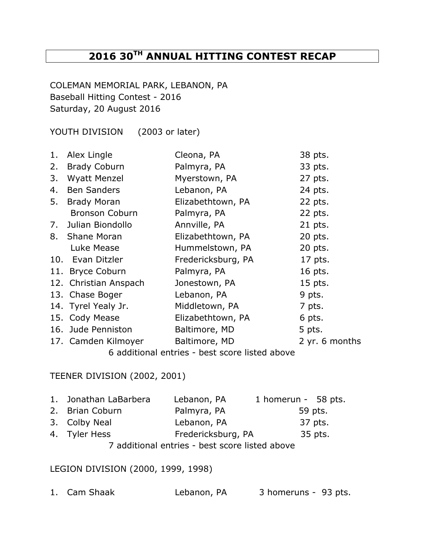# **2016 30TH ANNUAL HITTING CONTEST RECAP**

COLEMAN MEMORIAL PARK, LEBANON, PA Baseball Hitting Contest - 2016 Saturday, 20 August 2016

YOUTH DIVISION (2003 or later)

| 1. | Alex Lingle           | Cleona, PA         | 38 pts.        |
|----|-----------------------|--------------------|----------------|
| 2. | <b>Brady Coburn</b>   | Palmyra, PA        | 33 pts.        |
| 3. | <b>Wyatt Menzel</b>   | Myerstown, PA      | 27 pts.        |
| 4. | <b>Ben Sanders</b>    | Lebanon, PA        | 24 pts.        |
| 5. | <b>Brady Moran</b>    | Elizabethtown, PA  | 22 pts.        |
|    | <b>Bronson Coburn</b> | Palmyra, PA        | 22 pts.        |
|    | 7. Julian Biondollo   | Annville, PA       | 21 pts.        |
|    | 8. Shane Moran        | Elizabethtown, PA  | 20 pts.        |
|    | Luke Mease            | Hummelstown, PA    | 20 pts.        |
|    | 10. Evan Ditzler      | Fredericksburg, PA | 17 pts.        |
|    | 11. Bryce Coburn      | Palmyra, PA        | 16 pts.        |
|    | 12. Christian Anspach | Jonestown, PA      | 15 pts.        |
|    | 13. Chase Boger       | Lebanon, PA        | 9 pts.         |
|    | 14. Tyrel Yealy Jr.   | Middletown, PA     | 7 pts.         |
|    | 15. Cody Mease        | Elizabethtown, PA  | 6 pts.         |
|    | 16. Jude Penniston    | Baltimore, MD      | 5 pts.         |
|    | 17. Camden Kilmoyer   | Baltimore, MD      | 2 yr. 6 months |
|    |                       |                    |                |

6 additional entries - best score listed above

### TEENER DIVISION (2002, 2001)

| 1. Jonathan LaBarbera                          | Lebanon, PA        | 1 homerun - 58 pts. |  |  |
|------------------------------------------------|--------------------|---------------------|--|--|
| 2. Brian Coburn                                | Palmyra, PA        | 59 pts.             |  |  |
| 3. Colby Neal                                  | Lebanon, PA        | 37 pts.             |  |  |
| 4. Tyler Hess                                  | Fredericksburg, PA | 35 pts.             |  |  |
| 7 additional entries - best score listed above |                    |                     |  |  |

#### LEGION DIVISION (2000, 1999, 1998)

|  | 1. Cam Shaak | Lebanon, PA | 3 homeruns - 93 pts. |  |
|--|--------------|-------------|----------------------|--|
|--|--------------|-------------|----------------------|--|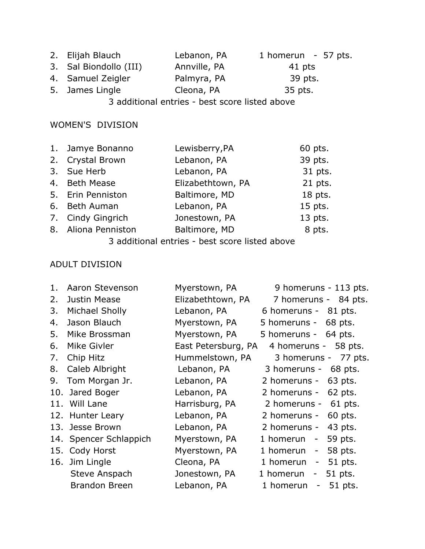| 2. Elijah Blauch       | Lebanon, PA  | 1 homerun $-57$ pts. |
|------------------------|--------------|----------------------|
| 3. Sal Biondollo (III) | Annville, PA | 41 pts               |
| 4. Samuel Zeigler      | Palmyra, PA  | 39 pts.              |
| 5. James Lingle        | Cleona, PA   | 35 pts.              |
|                        |              |                      |

3 additional entries - best score listed above

## WOMEN'S DIVISION

| 1. Jamye Bonanno                             | Lewisberry, PA    | 60 pts.   |  |
|----------------------------------------------|-------------------|-----------|--|
| 2. Crystal Brown                             | Lebanon, PA       | 39 pts.   |  |
| 3. Sue Herb                                  | Lebanon, PA       | 31 pts.   |  |
| 4. Beth Mease                                | Elizabethtown, PA | 21 pts.   |  |
| 5. Erin Penniston                            | Baltimore, MD     | 18 pts.   |  |
| 6. Beth Auman                                | Lebanon, PA       | $15$ pts. |  |
| 7. Cindy Gingrich                            | Jonestown, PA     | 13 pts.   |  |
| 8. Aliona Penniston                          | Baltimore, MD     | 8 pts.    |  |
| 2 additional optries hest scere listed above |                   |           |  |

3 additional entries - best score listed above

## ADULT DIVISION

| 1. | Aaron Stevenson        | Myerstown, PA       | 9 homeruns - 113 pts.                                |
|----|------------------------|---------------------|------------------------------------------------------|
|    |                        |                     |                                                      |
| 2. | Justin Mease           | Elizabethtown, PA   | 7 homeruns - 84 pts.                                 |
| 3. | Michael Sholly         | Lebanon, PA         | 6 homeruns - 81 pts.                                 |
| 4. | Jason Blauch           | Myerstown, PA       | 5 homeruns -<br>68 pts.                              |
| 5. | Mike Brossman          | Myerstown, PA       | 5 homeruns - 64 pts.                                 |
| 6. | Mike Givler            | East Petersburg, PA | 4 homeruns - 58 pts.                                 |
| 7. | Chip Hitz              | Hummelstown, PA     | 3 homeruns - 77 pts.                                 |
| 8. | Caleb Albright         | Lebanon, PA         | 3 homeruns -<br>68 pts.                              |
| 9. | Tom Morgan Jr.         | Lebanon, PA         | 2 homeruns -<br>63 pts.                              |
|    | 10. Jared Boger        | Lebanon, PA         | 2 homeruns -<br>62 pts.                              |
|    | 11. Will Lane          | Harrisburg, PA      | 2 homeruns -<br>61 pts.                              |
|    | 12. Hunter Leary       | Lebanon, PA         | 2 homeruns -<br>60 pts.                              |
|    | 13. Jesse Brown        | Lebanon, PA         | 43 pts.<br>2 homeruns -                              |
|    | 14. Spencer Schlappich | Myerstown, PA       | 59 pts.<br>1 homerun<br>$\sim$ $-$                   |
|    | 15. Cody Horst         | Myerstown, PA       | 58 pts.<br>1 homerun<br>$\qquad \qquad \blacksquare$ |
|    | 16. Jim Lingle         | Cleona, PA          | 51 pts.<br>1 homerun<br>-                            |
|    | Steve Anspach          | Jonestown, PA       | 51 pts.<br>1 homerun<br>$\qquad \qquad -$            |
|    | Brandon Breen          | Lebanon, PA         | 51 pts.<br>1 homerun<br>$\overline{\phantom{0}}$     |